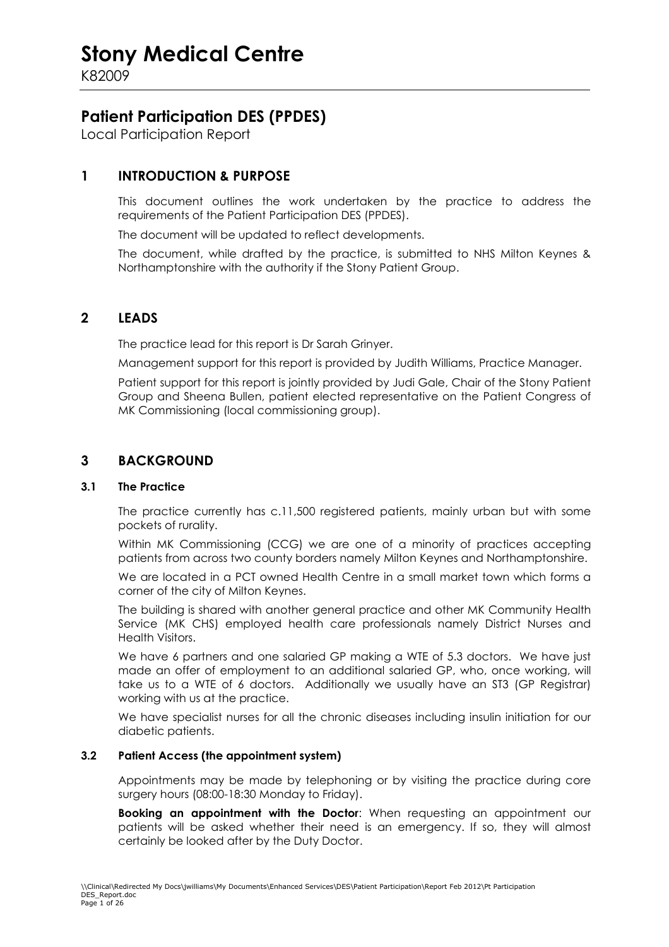K82009

### **Patient Participation DES (PPDES)**

Local Participation Report

### **1 INTRODUCTION & PURPOSE**

 This document outlines the work undertaken by the practice to address the requirements of the Patient Participation DES (PPDES).

The document will be updated to reflect developments.

The document, while drafted by the practice, is submitted to NHS Milton Keynes & Northamptonshire with the authority if the Stony Patient Group.

#### **2 LEADS**

The practice lead for this report is Dr Sarah Grinyer.

Management support for this report is provided by Judith Williams, Practice Manager.

Patient support for this report is jointly provided by Judi Gale, Chair of the Stony Patient Group and Sheena Bullen, patient elected representative on the Patient Congress of MK Commissioning (local commissioning group).

#### **3 BACKGROUND**

#### **3.1 The Practice**

 The practice currently has c.11,500 registered patients, mainly urban but with some pockets of rurality.

Within MK Commissioning (CCG) we are one of a minority of practices accepting patients from across two county borders namely Milton Keynes and Northamptonshire.

We are located in a PCT owned Health Centre in a small market town which forms a corner of the city of Milton Keynes.

The building is shared with another general practice and other MK Community Health Service (MK CHS) employed health care professionals namely District Nurses and Health Visitors.

We have 6 partners and one salaried GP making a WTE of 5.3 doctors. We have just made an offer of employment to an additional salaried GP, who, once working, will take us to a WTE of 6 doctors. Additionally we usually have an ST3 (GP Registrar) working with us at the practice.

We have specialist nurses for all the chronic diseases including insulin initiation for our diabetic patients.

#### **3.2 Patient Access (the appointment system)**

 Appointments may be made by telephoning or by visiting the practice during core surgery hours (08:00-18:30 Monday to Friday).

**Booking an appointment with the Doctor**: When requesting an appointment our patients will be asked whether their need is an emergency. If so, they will almost certainly be looked after by the Duty Doctor.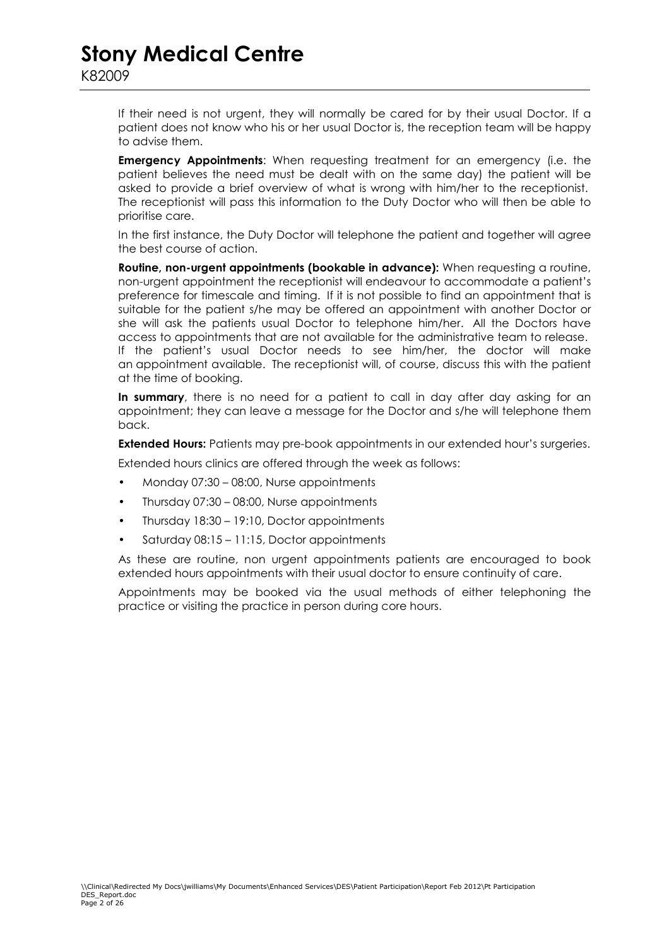If their need is not urgent, they will normally be cared for by their usual Doctor. If a patient does not know who his or her usual Doctor is, the reception team will be happy to advise them.

**Emergency Appointments**: When requesting treatment for an emergency (i.e. the patient believes the need must be dealt with on the same day) the patient will be asked to provide a brief overview of what is wrong with him/her to the receptionist. The receptionist will pass this information to the Duty Doctor who will then be able to prioritise care.

In the first instance, the Duty Doctor will telephone the patient and together will agree the best course of action.

**Routine, non-urgent appointments (bookable in advance):** When requesting a routine, non-urgent appointment the receptionist will endeavour to accommodate a patient's preference for timescale and timing. If it is not possible to find an appointment that is suitable for the patient s/he may be offered an appointment with another Doctor or she will ask the patients usual Doctor to telephone him/her. All the Doctors have access to appointments that are not available for the administrative team to release. If the patient's usual Doctor needs to see him/her, the doctor will make an appointment available. The receptionist will, of course, discuss this with the patient at the time of booking.

**In summary**, there is no need for a patient to call in day after day asking for an appointment; they can leave a message for the Doctor and s/he will telephone them back.

**Extended Hours:** Patients may pre-book appointments in our extended hour's surgeries.

Extended hours clinics are offered through the week as follows:

- Monday 07:30 08:00, Nurse appointments
- Thursday 07:30 08:00, Nurse appointments
- Thursday 18:30 19:10, Doctor appointments
- Saturday 08:15 11:15, Doctor appointments

As these are routine, non urgent appointments patients are encouraged to book extended hours appointments with their usual doctor to ensure continuity of care.

Appointments may be booked via the usual methods of either telephoning the practice or visiting the practice in person during core hours.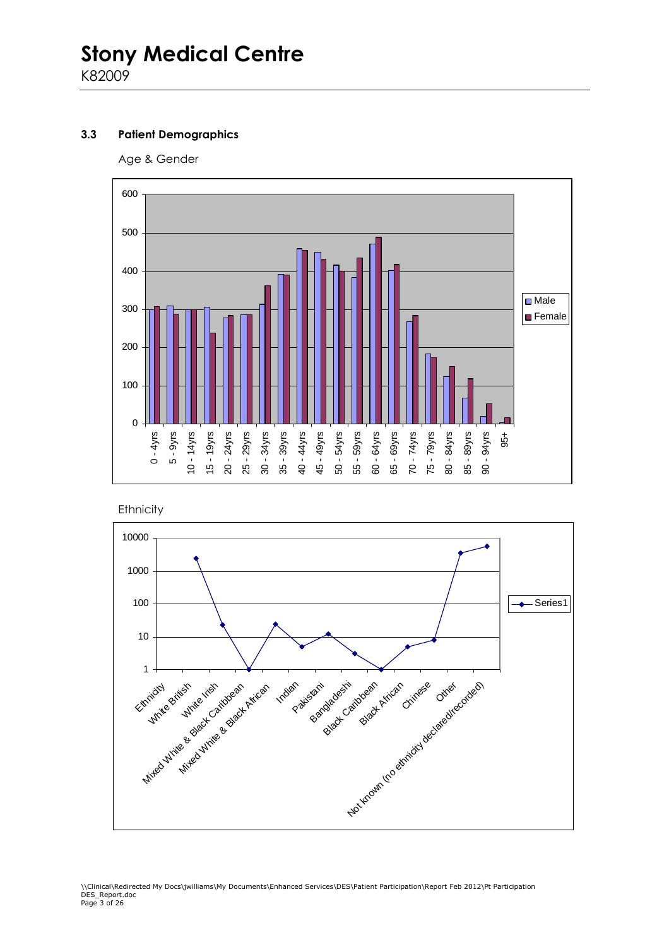#### **3.3 Patient Demographics**

Age & Gender



**Ethnicity** 

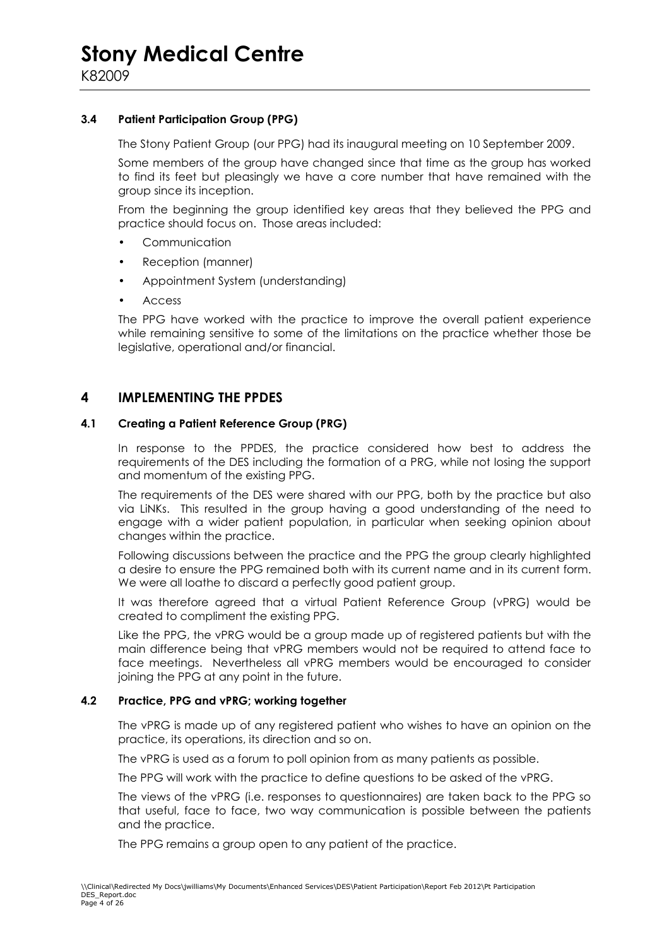#### **3.4 Patient Participation Group (PPG)**

The Stony Patient Group (our PPG) had its inaugural meeting on 10 September 2009.

Some members of the group have changed since that time as the group has worked to find its feet but pleasingly we have a core number that have remained with the group since its inception.

From the beginning the group identified key areas that they believed the PPG and practice should focus on. Those areas included:

- **Communication**
- Reception (manner)
- Appointment System (understanding)
- Access

The PPG have worked with the practice to improve the overall patient experience while remaining sensitive to some of the limitations on the practice whether those be legislative, operational and/or financial.

#### **4 IMPLEMENTING THE PPDES**

#### **4.1 Creating a Patient Reference Group (PRG)**

 In response to the PPDES, the practice considered how best to address the requirements of the DES including the formation of a PRG, while not losing the support and momentum of the existing PPG.

The requirements of the DES were shared with our PPG, both by the practice but also via LiNKs. This resulted in the group having a good understanding of the need to engage with a wider patient population, in particular when seeking opinion about changes within the practice.

Following discussions between the practice and the PPG the group clearly highlighted a desire to ensure the PPG remained both with its current name and in its current form. We were all loathe to discard a perfectly good patient group.

It was therefore agreed that a virtual Patient Reference Group (vPRG) would be created to compliment the existing PPG.

Like the PPG, the vPRG would be a group made up of registered patients but with the main difference being that vPRG members would not be required to attend face to face meetings. Nevertheless all vPRG members would be encouraged to consider joining the PPG at any point in the future.

#### **4.2 Practice, PPG and vPRG; working together**

 The vPRG is made up of any registered patient who wishes to have an opinion on the practice, its operations, its direction and so on.

The vPRG is used as a forum to poll opinion from as many patients as possible.

The PPG will work with the practice to define questions to be asked of the vPRG.

The views of the vPRG (i.e. responses to questionnaires) are taken back to the PPG so that useful, face to face, two way communication is possible between the patients and the practice.

The PPG remains a group open to any patient of the practice.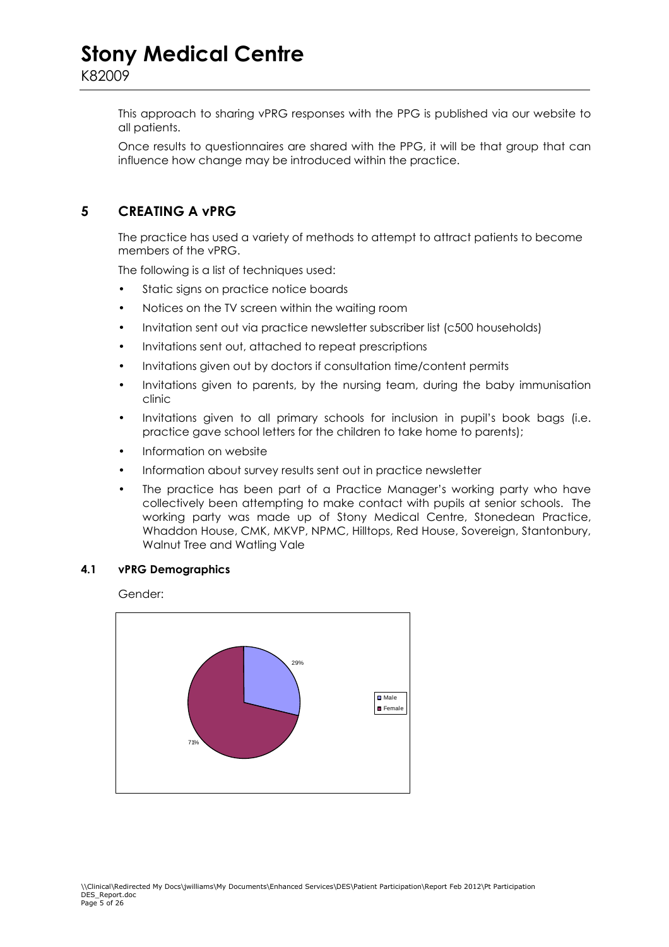This approach to sharing vPRG responses with the PPG is published via our website to all patients.

Once results to questionnaires are shared with the PPG, it will be that group that can influence how change may be introduced within the practice.

#### **5 CREATING A vPRG**

 The practice has used a variety of methods to attempt to attract patients to become members of the vPRG.

The following is a list of techniques used:

- Static signs on practice notice boards
- Notices on the TV screen within the waiting room
- Invitation sent out via practice newsletter subscriber list (c500 households)
- Invitations sent out, attached to repeat prescriptions
- Invitations given out by doctors if consultation time/content permits
- Invitations given to parents, by the nursing team, during the baby immunisation clinic
- Invitations given to all primary schools for inclusion in pupil's book bags (i.e. practice gave school letters for the children to take home to parents);
- Information on website
- Information about survey results sent out in practice newsletter
- The practice has been part of a Practice Manager's working party who have collectively been attempting to make contact with pupils at senior schools. The working party was made up of Stony Medical Centre, Stonedean Practice, Whaddon House, CMK, MKVP, NPMC, Hilltops, Red House, Sovereign, Stantonbury, Walnut Tree and Watling Vale

#### **4.1 vPRG Demographics**

Gender:

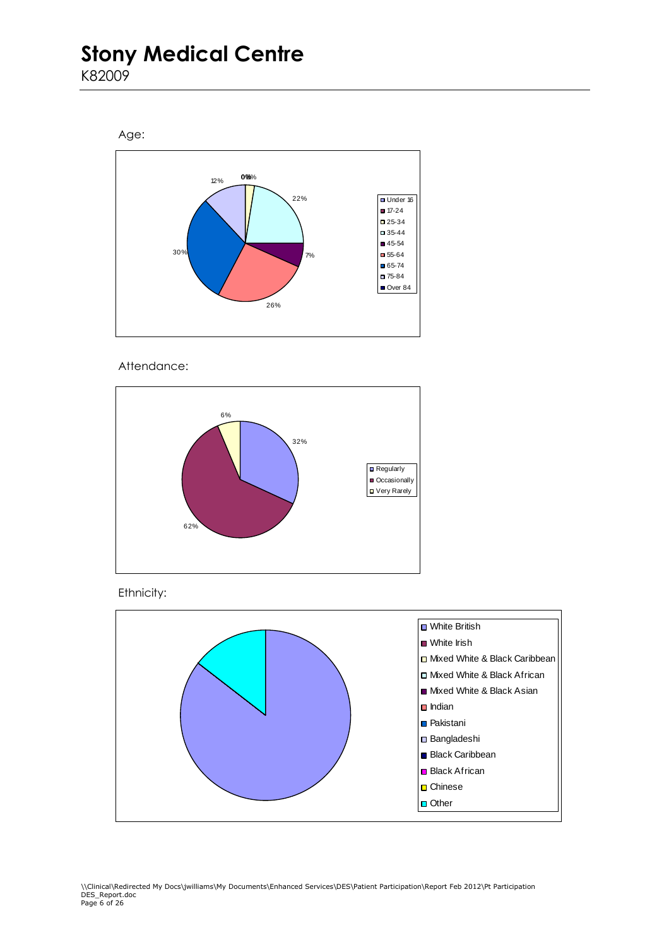K82009





Attendance:



Ethnicity:

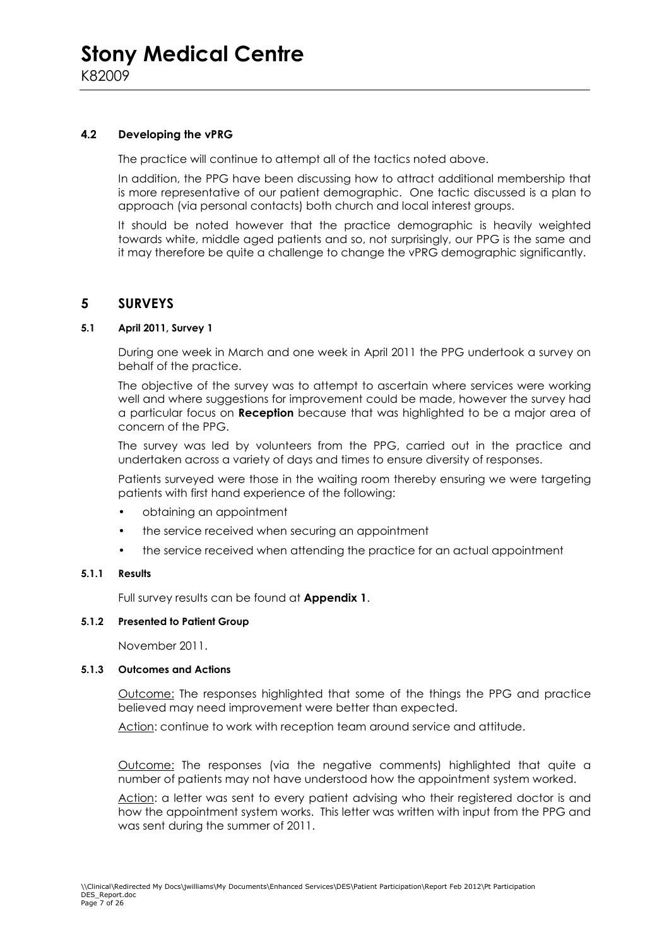#### **4.2 Developing the vPRG**

The practice will continue to attempt all of the tactics noted above.

In addition, the PPG have been discussing how to attract additional membership that is more representative of our patient demographic. One tactic discussed is a plan to approach (via personal contacts) both church and local interest groups.

It should be noted however that the practice demographic is heavily weighted towards white, middle aged patients and so, not surprisingly, our PPG is the same and it may therefore be quite a challenge to change the vPRG demographic significantly.

#### **5 SURVEYS**

#### **5.1 April 2011, Survey 1**

 During one week in March and one week in April 2011 the PPG undertook a survey on behalf of the practice.

The objective of the survey was to attempt to ascertain where services were working well and where suggestions for improvement could be made, however the survey had a particular focus on **Reception** because that was highlighted to be a major area of concern of the PPG.

The survey was led by volunteers from the PPG, carried out in the practice and undertaken across a variety of days and times to ensure diversity of responses.

Patients surveyed were those in the waiting room thereby ensuring we were targeting patients with first hand experience of the following:

- obtaining an appointment
- the service received when securing an appointment
- the service received when attending the practice for an actual appointment

#### **5.1.1 Results**

Full survey results can be found at **Appendix 1**.

#### **5.1.2 Presented to Patient Group**

November 2011.

#### **5.1.3 Outcomes and Actions**

Outcome: The responses highlighted that some of the things the PPG and practice believed may need improvement were better than expected.

Action: continue to work with reception team around service and attitude.

Outcome: The responses (via the negative comments) highlighted that quite a number of patients may not have understood how the appointment system worked.

Action: a letter was sent to every patient advising who their registered doctor is and how the appointment system works. This letter was written with input from the PPG and was sent during the summer of 2011.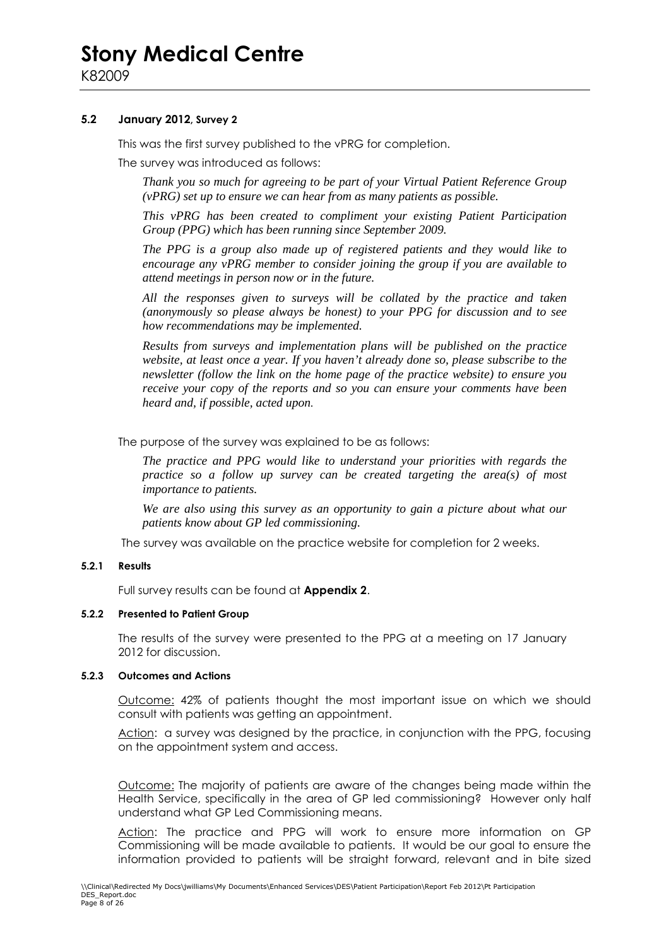#### **5.2 January 2012, Survey 2**

This was the first survey published to the vPRG for completion.

The survey was introduced as follows:

*Thank you so much for agreeing to be part of your Virtual Patient Reference Group (vPRG) set up to ensure we can hear from as many patients as possible.* 

*This vPRG has been created to compliment your existing Patient Participation Group (PPG) which has been running since September 2009.* 

*The PPG is a group also made up of registered patients and they would like to encourage any vPRG member to consider joining the group if you are available to attend meetings in person now or in the future.* 

*All the responses given to surveys will be collated by the practice and taken (anonymously so please always be honest) to your PPG for discussion and to see how recommendations may be implemented.* 

*Results from surveys and implementation plans will be published on the practice website, at least once a year. If you haven't already done so, please subscribe to the newsletter (follow the link on the home page of the practice website) to ensure you receive your copy of the reports and so you can ensure your comments have been heard and, if possible, acted upon.* 

The purpose of the survey was explained to be as follows:

*The practice and PPG would like to understand your priorities with regards the practice so a follow up survey can be created targeting the area(s) of most importance to patients.* 

*We are also using this survey as an opportunity to gain a picture about what our patients know about GP led commissioning.* 

The survey was available on the practice website for completion for 2 weeks.

#### **5.2.1 Results**

Full survey results can be found at **Appendix 2**.

#### **5.2.2 Presented to Patient Group**

The results of the survey were presented to the PPG at a meeting on 17 January 2012 for discussion.

#### **5.2.3 Outcomes and Actions**

Outcome: 42% of patients thought the most important issue on which we should consult with patients was getting an appointment.

Action: a survey was designed by the practice, in conjunction with the PPG, focusing on the appointment system and access.

Outcome: The majority of patients are aware of the changes being made within the Health Service, specifically in the area of GP led commissioning? However only half understand what GP Led Commissioning means.

Action: The practice and PPG will work to ensure more information on GP Commissioning will be made available to patients. It would be our goal to ensure the information provided to patients will be straight forward, relevant and in bite sized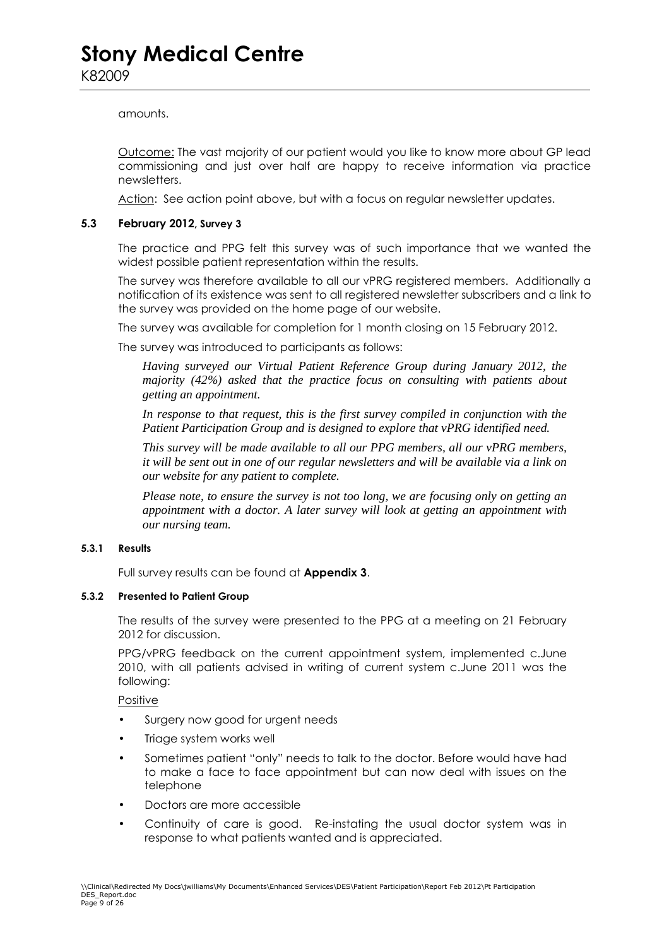#### amounts.

Outcome: The vast majority of our patient would you like to know more about GP lead commissioning and just over half are happy to receive information via practice newsletters.

Action: See action point above, but with a focus on regular newsletter updates.

#### **5.3 February 2012, Survey 3**

 The practice and PPG felt this survey was of such importance that we wanted the widest possible patient representation within the results.

The survey was therefore available to all our vPRG registered members. Additionally a notification of its existence was sent to all registered newsletter subscribers and a link to the survey was provided on the home page of our website.

The survey was available for completion for 1 month closing on 15 February 2012.

The survey was introduced to participants as follows:

*Having surveyed our Virtual Patient Reference Group during January 2012, the majority (42%) asked that the practice focus on consulting with patients about getting an appointment.* 

*In response to that request, this is the first survey compiled in conjunction with the Patient Participation Group and is designed to explore that vPRG identified need.* 

*This survey will be made available to all our PPG members, all our vPRG members, it will be sent out in one of our regular newsletters and will be available via a link on our website for any patient to complete.* 

*Please note, to ensure the survey is not too long, we are focusing only on getting an appointment with a doctor. A later survey will look at getting an appointment with our nursing team.* 

#### **5.3.1 Results**

Full survey results can be found at **Appendix 3**.

#### **5.3.2 Presented to Patient Group**

The results of the survey were presented to the PPG at a meeting on 21 February 2012 for discussion.

PPG/vPRG feedback on the current appointment system, implemented c.June 2010, with all patients advised in writing of current system c.June 2011 was the following:

Positive

- Surgery now good for urgent needs
- Triage system works well
- Sometimes patient "only" needs to talk to the doctor. Before would have had to make a face to face appointment but can now deal with issues on the telephone
- Doctors are more accessible
- Continuity of care is good. Re-instating the usual doctor system was in response to what patients wanted and is appreciated.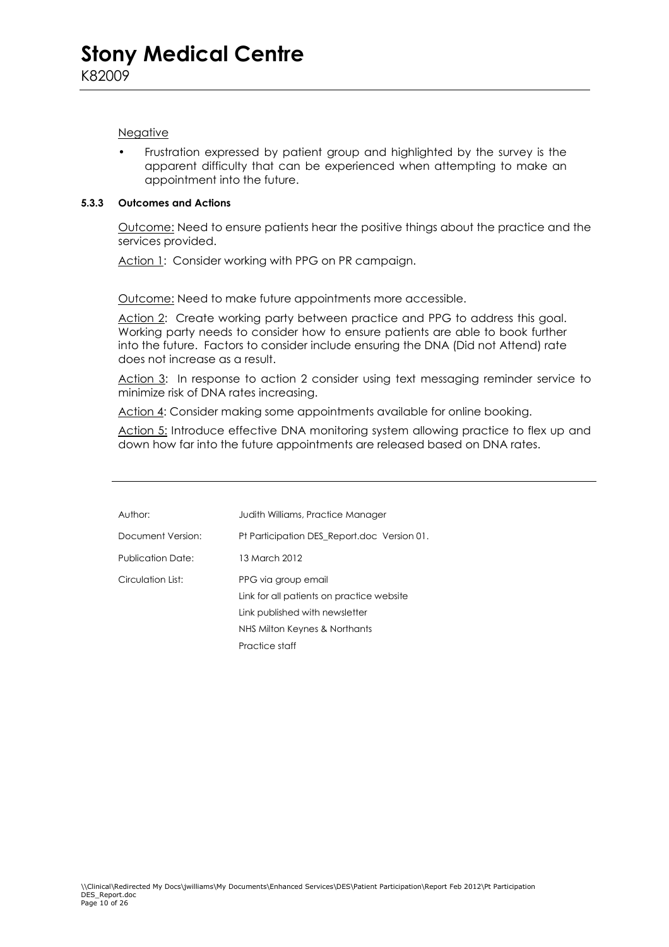#### Negative

• Frustration expressed by patient group and highlighted by the survey is the apparent difficulty that can be experienced when attempting to make an appointment into the future.

#### **5.3.3 Outcomes and Actions**

 Outcome: Need to ensure patients hear the positive things about the practice and the services provided.

Action 1: Consider working with PPG on PR campaign.

Outcome: Need to make future appointments more accessible.

Action 2: Create working party between practice and PPG to address this goal. Working party needs to consider how to ensure patients are able to book further into the future. Factors to consider include ensuring the DNA (Did not Attend) rate does not increase as a result.

Action 3: In response to action 2 consider using text messaging reminder service to minimize risk of DNA rates increasing.

Action 4: Consider making some appointments available for online booking.

Action 5: Introduce effective DNA monitoring system allowing practice to flex up and down how far into the future appointments are released based on DNA rates.

| Author:           | Judith Williams, Practice Manager                                |
|-------------------|------------------------------------------------------------------|
| Document Version: | Pt Participation DES Report.doc Version 01.                      |
| Publication Date: | 13 March 2012                                                    |
| Circulation List: | PPG via group email<br>Link for all patients on practice website |
|                   | Link published with newsletter                                   |
|                   | NHS Milton Keynes & Northants                                    |
|                   | Practice staff                                                   |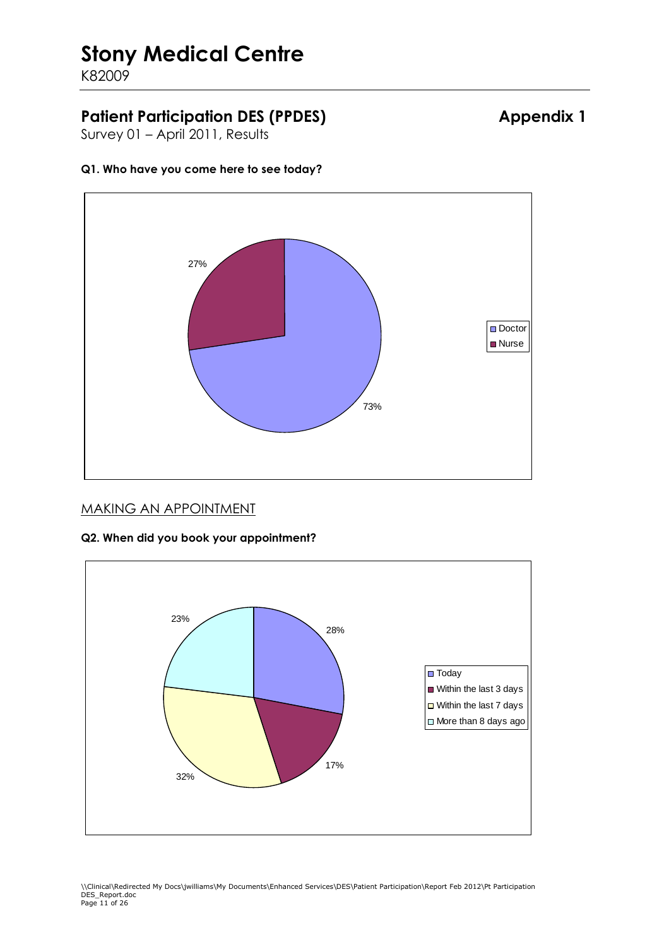K82009

### Patient Participation DES (PPDES) **Appendix 1**

Survey 01 – April 2011, Results

#### **Q1. Who have you come here to see today?**



### MAKING AN APPOINTMENT

# 28% 17% 32% 23% ■ Today Within the last 3 days ■ Within the last 7 days □ More than 8 days ago

#### **Q2. When did you book your appointment?**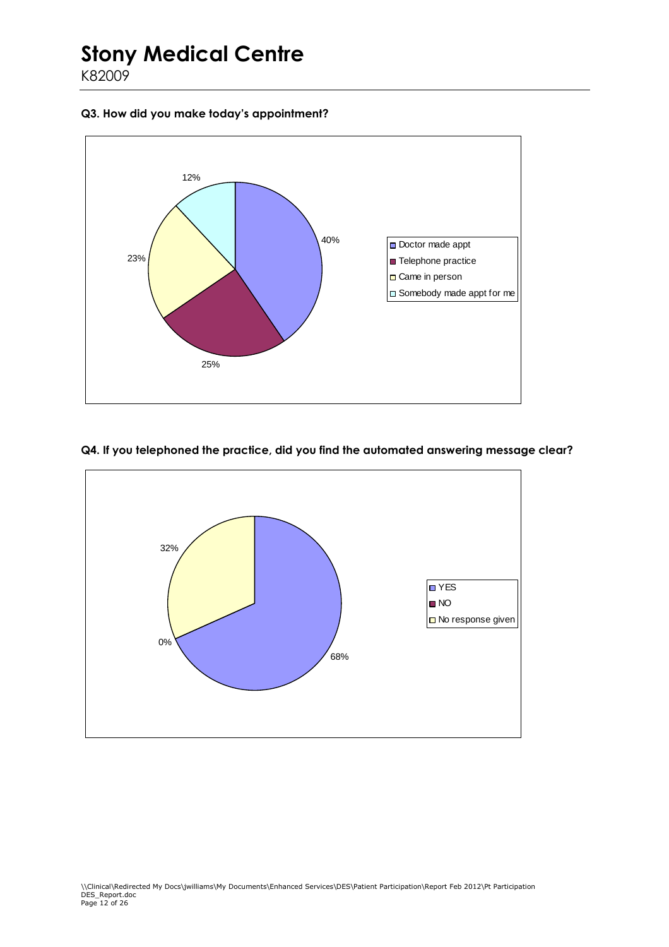K82009

#### **Q3. How did you make today's appointment?**



#### **Q4. If you telephoned the practice, did you find the automated answering message clear?**

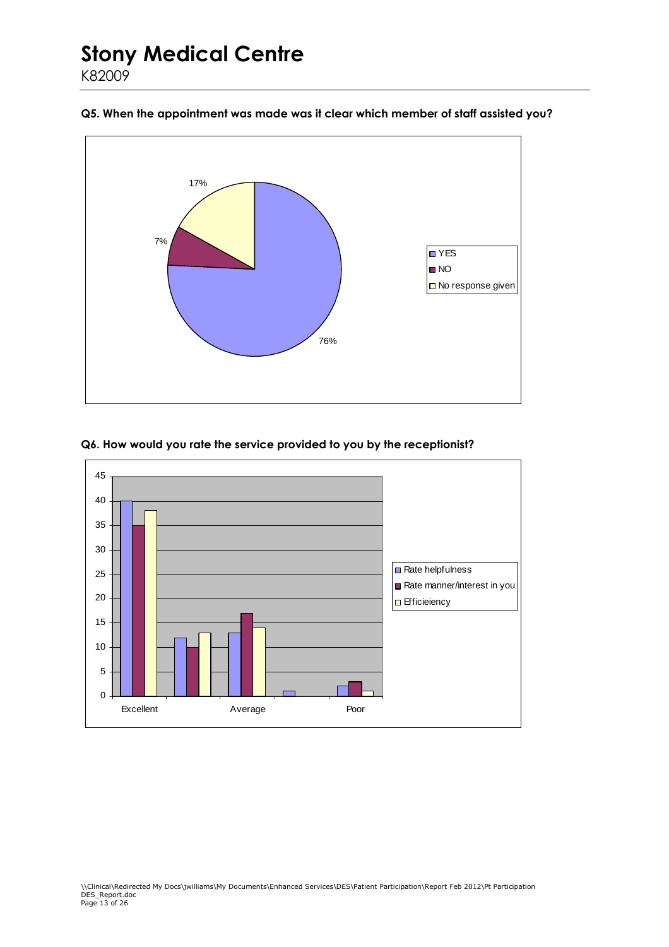

#### **Q5. When the appointment was made was it clear which member of staff assisted you?**



#### **Q6. How would you rate the service provided to you by the receptionist?**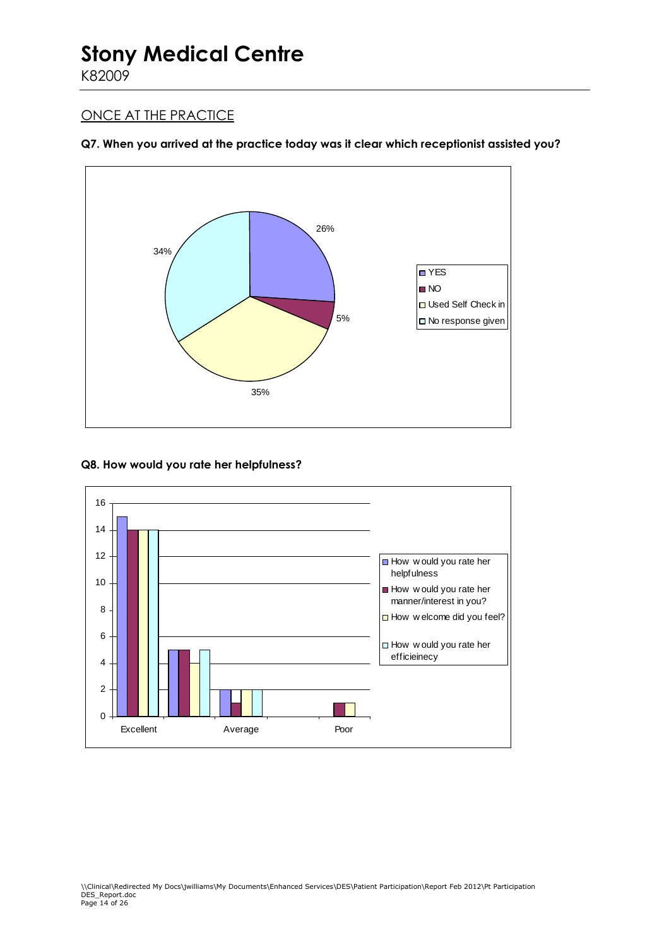K82009

### ONCE AT THE PRACTICE

#### **Q7. When you arrived at the practice today was it clear which receptionist assisted you?**



#### **Q8. How would you rate her helpfulness?**

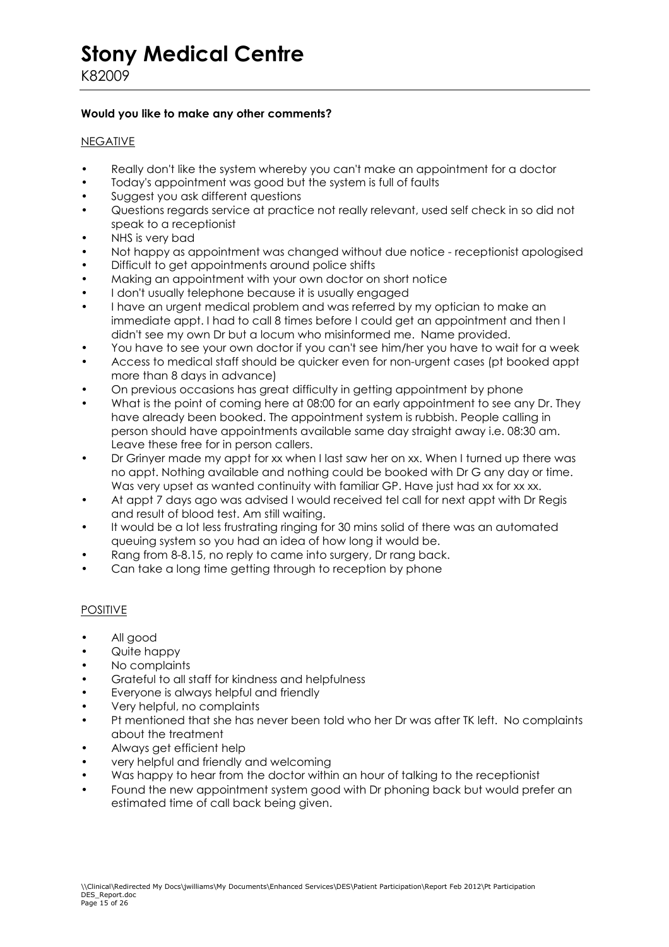#### **Would you like to make any other comments?**

#### NEGATIVE

- Really don't like the system whereby you can't make an appointment for a doctor
- Today's appointment was good but the system is full of faults
- Suggest you ask different questions
- Questions regards service at practice not really relevant, used self check in so did not speak to a receptionist
- NHS is very bad
- Not happy as appointment was changed without due notice receptionist apologised
- Difficult to get appointments around police shifts
- Making an appointment with your own doctor on short notice
- I don't usually telephone because it is usually engaged
- I have an urgent medical problem and was referred by my optician to make an immediate appt. I had to call 8 times before I could get an appointment and then I didn't see my own Dr but a locum who misinformed me. Name provided.
- You have to see your own doctor if you can't see him/her you have to wait for a week
- Access to medical staff should be quicker even for non-urgent cases (pt booked appt more than 8 days in advance)
- On previous occasions has great difficulty in getting appointment by phone
- What is the point of coming here at 08:00 for an early appointment to see any Dr. They have already been booked. The appointment system is rubbish. People calling in person should have appointments available same day straight away i.e. 08:30 am. Leave these free for in person callers.
- Dr Grinyer made my appt for xx when I last saw her on xx. When I turned up there was no appt. Nothing available and nothing could be booked with Dr G any day or time. Was very upset as wanted continuity with familiar GP. Have just had xx for xx xx.
- At appt 7 days ago was advised I would received tel call for next appt with Dr Regis and result of blood test. Am still waiting.
- It would be a lot less frustrating ringing for 30 mins solid of there was an automated queuing system so you had an idea of how long it would be.
- Rang from 8-8.15, no reply to came into surgery, Dr rang back.
- Can take a long time getting through to reception by phone

#### POSITIVE

- All good
- Quite happy
- No complaints
- Grateful to all staff for kindness and helpfulness
- Everyone is always helpful and friendly
- Very helpful, no complaints
- Pt mentioned that she has never been told who her Dr was after TK left. No complaints about the treatment
- Always get efficient help
- very helpful and friendly and welcoming
- Was happy to hear from the doctor within an hour of talking to the receptionist
- Found the new appointment system good with Dr phoning back but would prefer an estimated time of call back being given.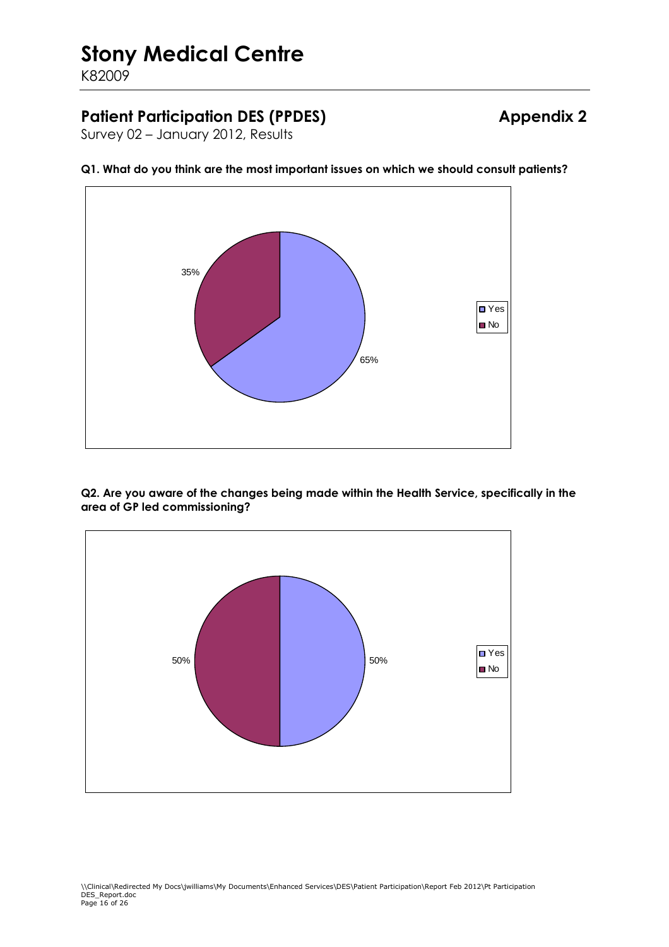K82009

### **Patient Participation DES (PPDES) Appendix 2**

Survey 02 – January 2012, Results





**Q2. Are you aware of the changes being made within the Health Service, specifically in the area of GP led commissioning?** 

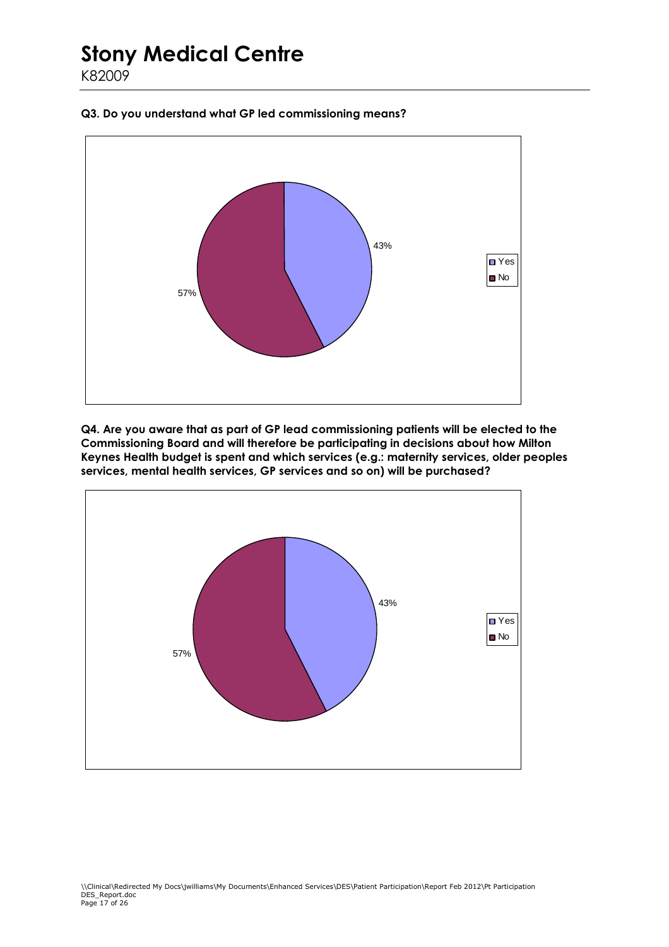**Q3. Do you understand what GP led commissioning means?** 



**Q4. Are you aware that as part of GP lead commissioning patients will be elected to the Commissioning Board and will therefore be participating in decisions about how Milton Keynes Health budget is spent and which services (e.g.: maternity services, older peoples services, mental health services, GP services and so on) will be purchased?** 

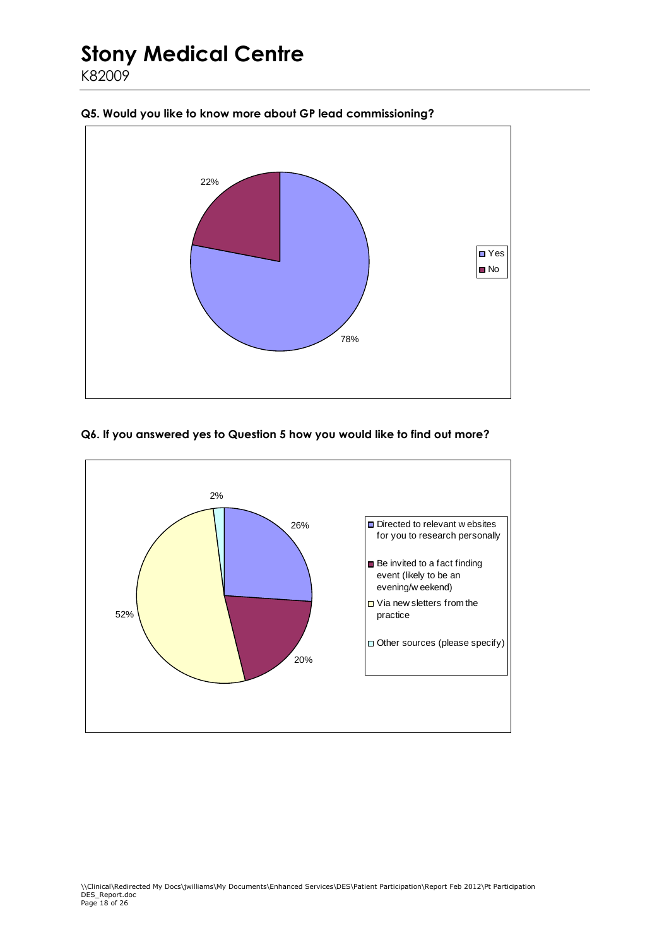78% 22% **□** Yes ■ No

#### **Q5. Would you like to know more about GP lead commissioning?**

#### **Q6. If you answered yes to Question 5 how you would like to find out more?**

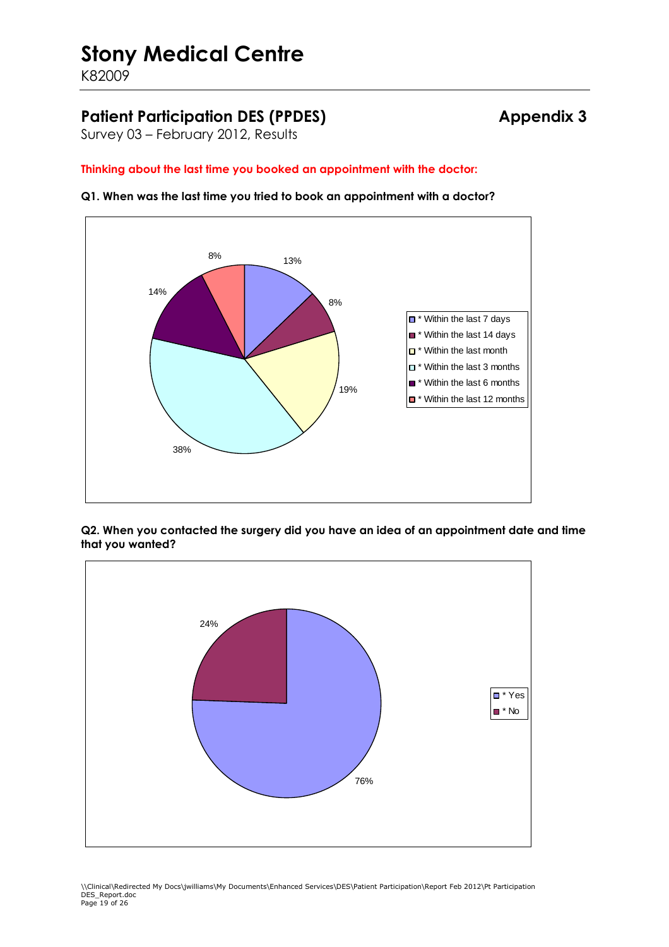K82009

### Patient Participation DES (PPDES) **Appendix 3**

Survey 03 – February 2012, Results

#### **Thinking about the last time you booked an appointment with the doctor:**

**Q1. When was the last time you tried to book an appointment with a doctor?**



**Q2. When you contacted the surgery did you have an idea of an appointment date and time that you wanted?** 

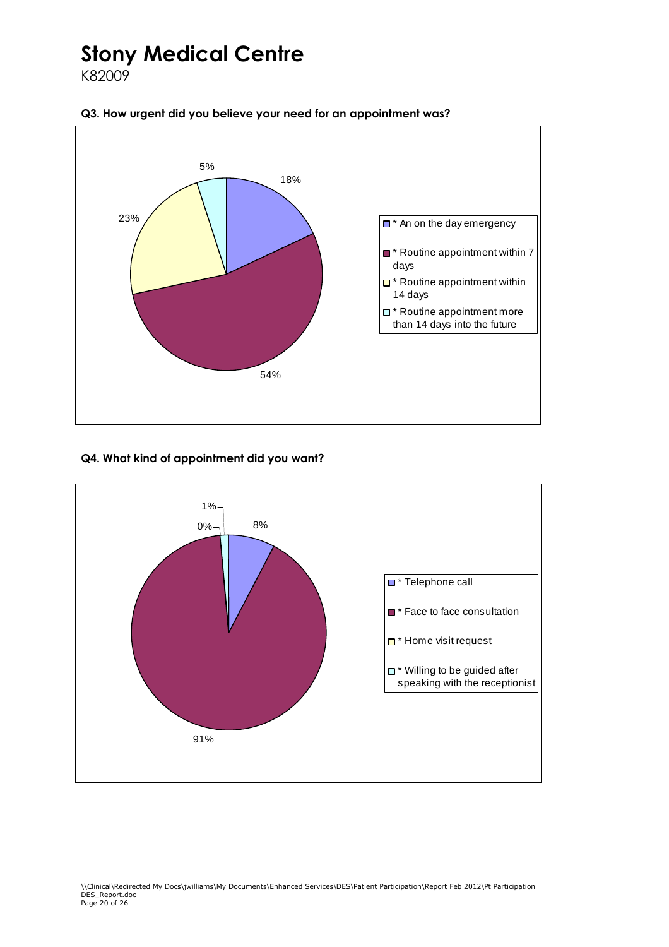K82009



#### **Q3. How urgent did you believe your need for an appointment was?**

#### **Q4. What kind of appointment did you want?**

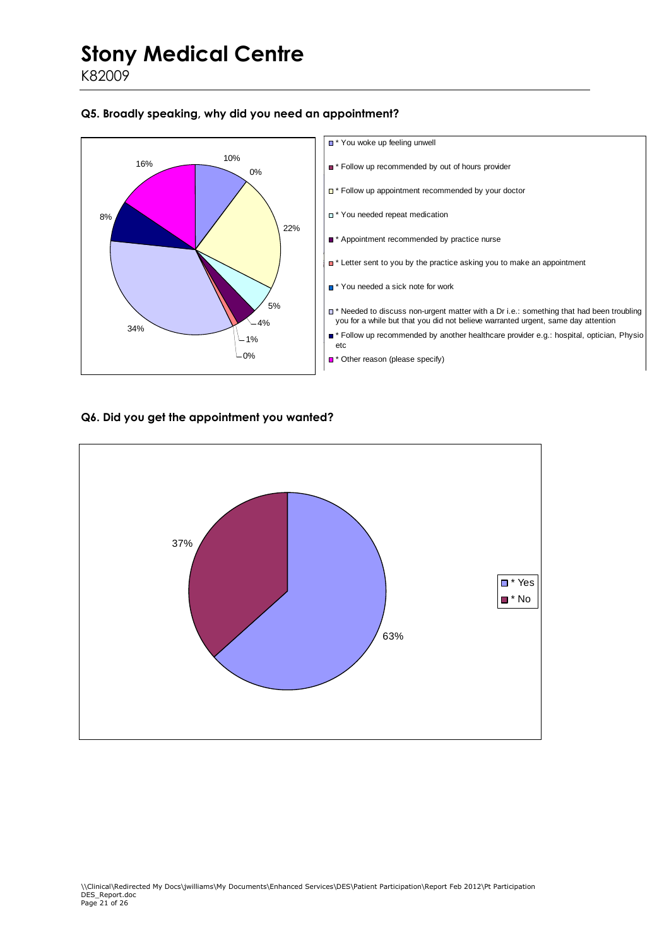K82009

#### **Q5. Broadly speaking, why did you need an appointment?**



#### **Q6. Did you get the appointment you wanted?**

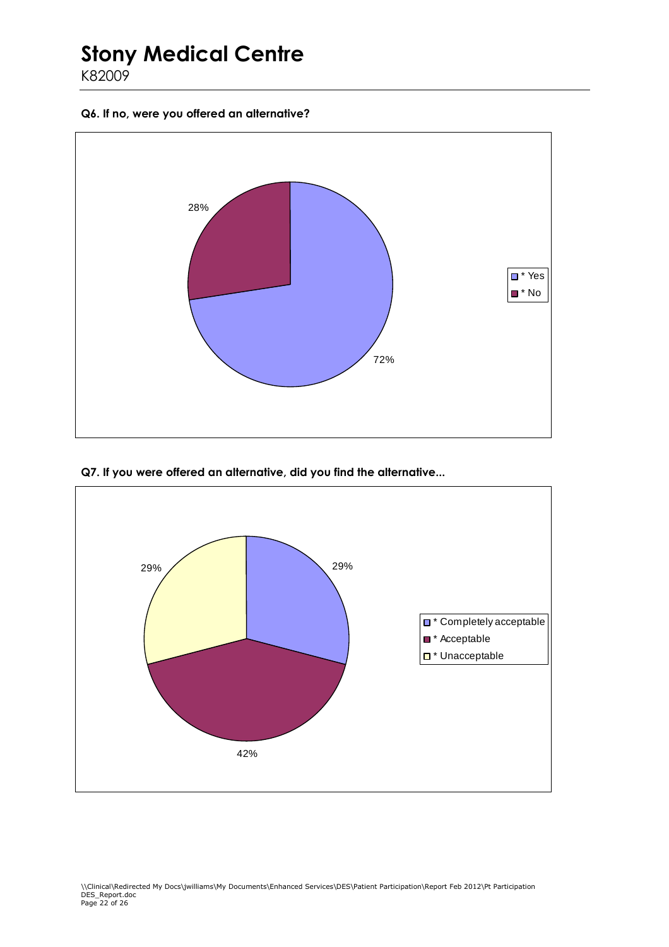K82009

**Q6. If no, were you offered an alternative?** 



**Q7. If you were offered an alternative, did you find the alternative...** 

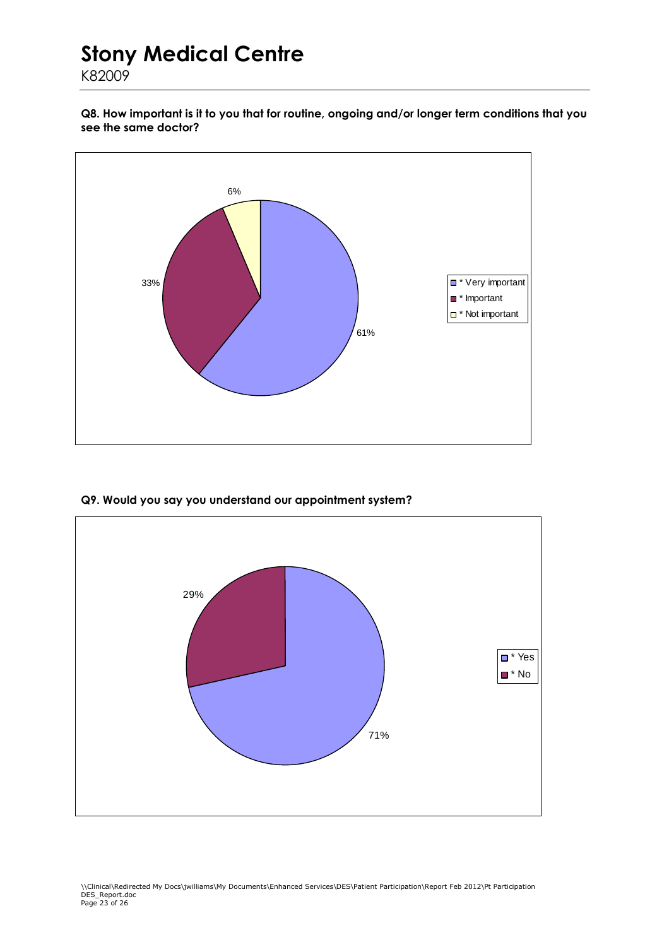K82009

**Q8. How important is it to you that for routine, ongoing and/or longer term conditions that you see the same doctor?** 



**Q9. Would you say you understand our appointment system?** 

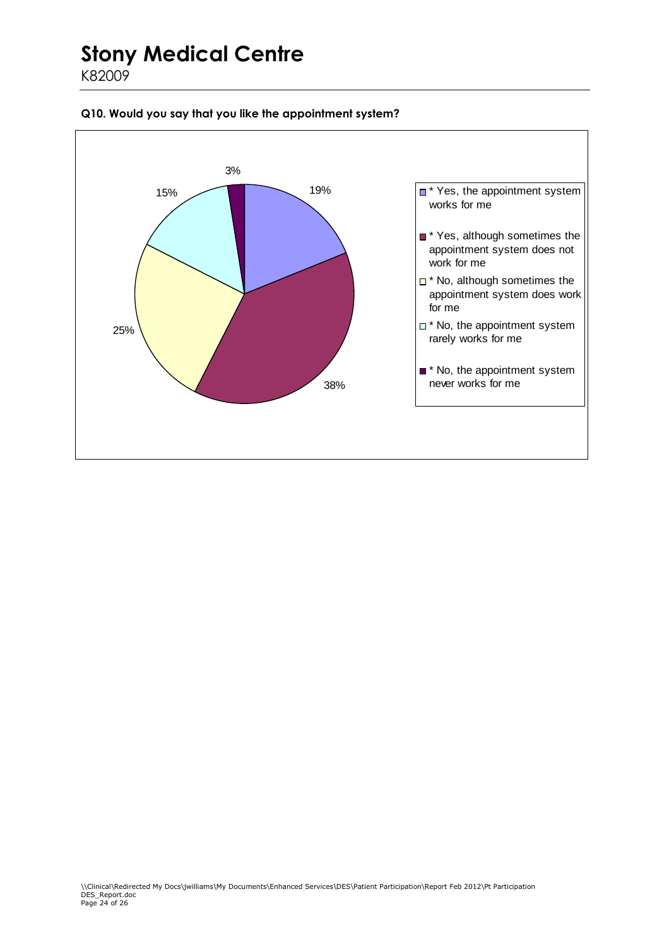K82009



#### **Q10. Would you say that you like the appointment system?**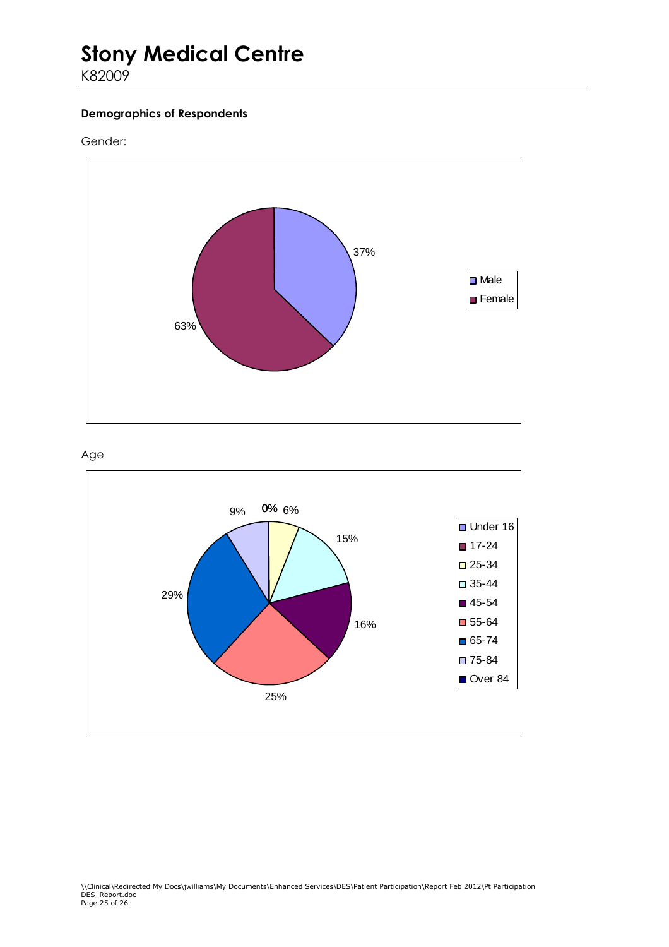K82009

#### **Demographics of Respondents**

#### Gender: